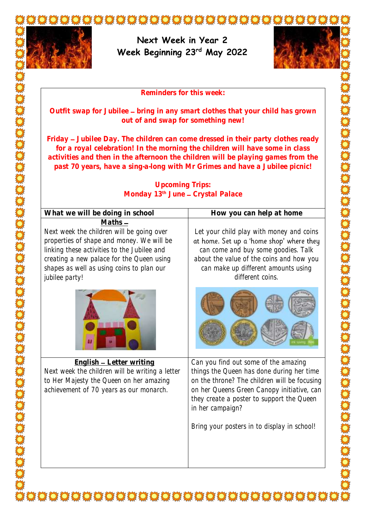

**Week Beginning 23rd May 2022**



**Reminders for this week:**

Outfit swap for Jubilee - bring in any smart clothes that your child has grown **out of and swap for something new!**

**Friday Jubilee Day. The children can come dressed in their party clothes ready for a royal celebration! In the morning the children will have some in class activities and then in the afternoon the children will be playing games from the past 70 years, have a sing-a-long with Mr Grimes and have a Jubilee picnic!**

## **Upcoming Trips: Monday 13<sup>th</sup> June - Crystal Palace**

| What we will be doing in school                                                                                                                                                                                                                                | How you can help at home                                                                                                                                                                                                                                                                        |
|----------------------------------------------------------------------------------------------------------------------------------------------------------------------------------------------------------------------------------------------------------------|-------------------------------------------------------------------------------------------------------------------------------------------------------------------------------------------------------------------------------------------------------------------------------------------------|
| $Maths -$<br>Next week the children will be going over<br>properties of shape and money. We will be<br>linking these activities to the Jubilee and<br>creating a new palace for the Queen using<br>shapes as well as using coins to plan our<br>jubilee party! | Let your child play with money and coins<br>at home. Set up a 'home shop' where they<br>can come and buy some goodies. Talk<br>about the value of the coins and how you<br>can make up different amounts using<br>different coins.                                                              |
|                                                                                                                                                                                                                                                                |                                                                                                                                                                                                                                                                                                 |
| English - Letter writing<br>Next week the children will be writing a letter<br>to Her Majesty the Queen on her amazing<br>achievement of 70 years as our monarch.                                                                                              | Can you find out some of the amazing<br>things the Queen has done during her time<br>on the throne? The children will be focusing<br>on her Queens Green Canopy initiative, can<br>they create a poster to support the Queen<br>in her campaign?<br>Bring your posters in to display in school! |

X CHU CHU CHU CHU CHU CHU CHU CHU CHU CH